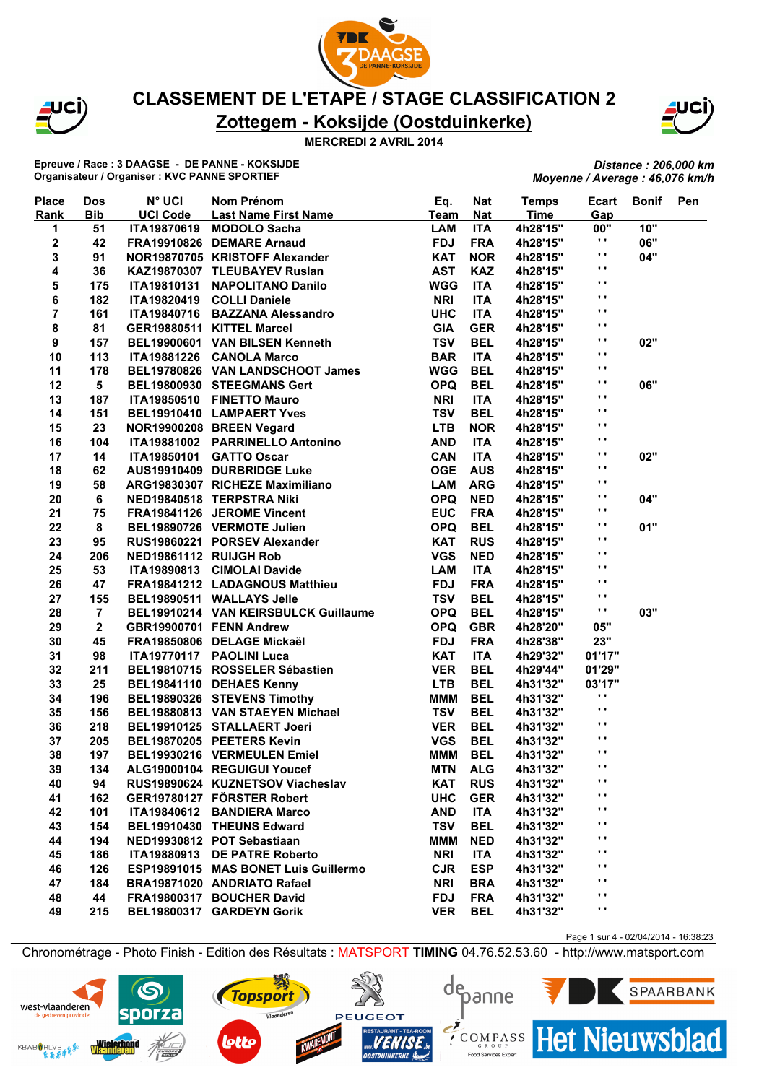



#### **MERCREDI 2 AVRIL 2014**

**Epreuve / Race : 3 DAAGSE - DE PANNE - KOKSIJDE Organisateur / Organiser : KVC PANNE SPORTIEF**

*Distance : 206,000 km Moyenne / Average : 46,076 km/h*

| <b>Place</b>            | <b>Dos</b>              | <b>N° UCI</b>          | Nom Prénom                           | Eq.         | Nat        | <b>Temps</b> | Ecart               | <b>Bonif</b> | Pen |
|-------------------------|-------------------------|------------------------|--------------------------------------|-------------|------------|--------------|---------------------|--------------|-----|
| Rank                    | <b>Bib</b>              | <b>UCI Code</b>        | <b>Last Name First Name</b>          | <b>Team</b> | <b>Nat</b> | <b>Time</b>  | Gap                 |              |     |
| 1                       | 51                      | ITA19870619            | <b>MODOLO Sacha</b>                  | <b>LAM</b>  | <b>ITA</b> | 4h28'15"     | 00"<br>$\mathbf{r}$ | 10"          |     |
| 2                       | 42                      |                        | FRA19910826 DEMARE Arnaud            | <b>FDJ</b>  | <b>FRA</b> | 4h28'15"     | ,,                  | 06"          |     |
| 3                       | 91                      |                        | NOR19870705 KRISTOFF Alexander       | <b>KAT</b>  | <b>NOR</b> | 4h28'15"     | $\blacksquare$      | 04"          |     |
| 4                       | 36                      |                        | KAZ19870307 TLEUBAYEV Ruslan         | <b>AST</b>  | <b>KAZ</b> | 4h28'15"     | $\mathbf{r}$ .      |              |     |
| 5                       | 175                     | <b>ITA19810131</b>     | <b>NAPOLITANO Danilo</b>             | <b>WGG</b>  | <b>ITA</b> | 4h28'15"     |                     |              |     |
| 6                       | 182                     |                        | ITA19820419 COLLI Daniele            | <b>NRI</b>  | <b>ITA</b> | 4h28'15"     | $\blacksquare$      |              |     |
| $\overline{\mathbf{7}}$ | 161                     |                        | ITA19840716 BAZZANA Alessandro       | <b>UHC</b>  | <b>ITA</b> | 4h28'15"     | $\blacksquare$      |              |     |
| 8                       | 81                      |                        | GER19880511 KITTEL Marcel            | <b>GIA</b>  | <b>GER</b> | 4h28'15"     | Ω.                  |              |     |
| 9                       | 157                     |                        | BEL19900601 VAN BILSEN Kenneth       | <b>TSV</b>  | <b>BEL</b> | 4h28'15"     | .,                  | 02"          |     |
| 10                      | 113                     |                        | ITA19881226 CANOLA Marco             | <b>BAR</b>  | <b>ITA</b> | 4h28'15"     | . .                 |              |     |
| 11                      | 178                     |                        | BEL19780826 VAN LANDSCHOOT James     | <b>WGG</b>  | <b>BEL</b> | 4h28'15"     | $\mathbf{r}$ .      |              |     |
| 12                      | 5                       |                        | BEL19800930 STEEGMANS Gert           | <b>OPQ</b>  | <b>BEL</b> | 4h28'15"     | $\blacksquare$      | 06"          |     |
| 13                      | 187                     |                        | ITA19850510 FINETTO Mauro            | <b>NRI</b>  | <b>ITA</b> | 4h28'15"     | $\mathbf{r}$ .      |              |     |
| 14                      | 151                     |                        | BEL19910410 LAMPAERT Yves            | <b>TSV</b>  | <b>BEL</b> | 4h28'15"     | $\blacksquare$      |              |     |
| 15                      | 23                      |                        | NOR19900208 BREEN Vegard             | <b>LTB</b>  | <b>NOR</b> | 4h28'15"     | $\blacksquare$      |              |     |
| 16                      | 104                     |                        | ITA19881002 PARRINELLO Antonino      | <b>AND</b>  | <b>ITA</b> | 4h28'15"     | Ω.                  |              |     |
| 17                      | 14                      | ITA19850101            | <b>GATTO Oscar</b>                   | <b>CAN</b>  | <b>ITA</b> | 4h28'15"     | $\blacksquare$      | 02"          |     |
| 18                      | 62                      |                        | AUS19910409 DURBRIDGE Luke           | <b>OGE</b>  | <b>AUS</b> | 4h28'15"     | $\blacksquare$      |              |     |
| 19                      | 58                      |                        | ARG19830307 RICHEZE Maximiliano      | <b>LAM</b>  | <b>ARG</b> | 4h28'15"     | $\blacksquare$      |              |     |
| 20                      | 6                       |                        | NED19840518 TERPSTRA Niki            | <b>OPQ</b>  | <b>NED</b> | 4h28'15"     | $\blacksquare$      | 04"          |     |
| 21                      | 75                      |                        | FRA19841126 JEROME Vincent           | <b>EUC</b>  | <b>FRA</b> | 4h28'15"     | $\mathbf{r}$ .      |              |     |
| 22                      | 8                       |                        | BEL19890726 VERMOTE Julien           | <b>OPQ</b>  | <b>BEL</b> | 4h28'15"     | .,                  | 01"          |     |
| 23                      | 95                      |                        | RUS19860221 PORSEV Alexander         | <b>KAT</b>  | <b>RUS</b> | 4h28'15"     | $\blacksquare$      |              |     |
| 24                      | 206                     | NED19861112 RUIJGH Rob |                                      | <b>VGS</b>  | <b>NED</b> | 4h28'15"     | $\blacksquare$      |              |     |
| 25                      | 53                      |                        | ITA19890813 CIMOLAI Davide           | <b>LAM</b>  | <b>ITA</b> | 4h28'15"     | Ω.                  |              |     |
| 26                      | 47                      |                        | FRA19841212 LADAGNOUS Matthieu       | <b>FDJ</b>  | <b>FRA</b> | 4h28'15"     | $\mathbf{r}$ .      |              |     |
| 27                      | 155                     |                        |                                      | <b>TSV</b>  | <b>BEL</b> |              | $\mathbf{r}$ .      |              |     |
|                         |                         |                        | BEL19890511 WALLAYS Jelle            | <b>OPQ</b>  | <b>BEL</b> | 4h28'15"     | .,                  | 03"          |     |
| 28                      | $\overline{7}$          |                        | BEL19910214 VAN KEIRSBULCK Guillaume |             |            | 4h28'15"     |                     |              |     |
| 29                      | $\overline{\mathbf{2}}$ |                        | GBR19900701 FENN Andrew              | <b>OPQ</b>  | <b>GBR</b> | 4h28'20"     | 05"                 |              |     |
| 30                      | 45                      |                        | FRA19850806 DELAGE Mickaël           | <b>FDJ</b>  | <b>FRA</b> | 4h28'38"     | 23"                 |              |     |
| 31                      | 98                      |                        | ITA19770117 PAOLINI Luca             | <b>KAT</b>  | <b>ITA</b> | 4h29'32"     | 01'17"              |              |     |
| 32                      | 211                     |                        | BEL19810715 ROSSELER Sébastien       | <b>VER</b>  | <b>BEL</b> | 4h29'44"     | 01'29"              |              |     |
| 33                      | 25                      |                        | BEL19841110 DEHAES Kenny             | <b>LTB</b>  | <b>BEL</b> | 4h31'32"     | 03'17"              |              |     |
| 34                      | 196                     |                        | BEL19890326 STEVENS Timothy          | <b>MMM</b>  | <b>BEL</b> | 4h31'32"     | .,                  |              |     |
| 35                      | 156                     |                        | BEL19880813 VAN STAEYEN Michael      | <b>TSV</b>  | <b>BEL</b> | 4h31'32"     | .,                  |              |     |
| 36                      | 218                     |                        | BEL19910125 STALLAERT Joeri          | <b>VER</b>  | <b>BEL</b> | 4h31'32"     | . .                 |              |     |
| 37                      | 205                     |                        | BEL19870205 PEETERS Kevin            | <b>VGS</b>  | <b>BEL</b> | 4h31'32"     | $\mathbf{r}$ .      |              |     |
| 38                      | 197                     |                        | BEL19930216 VERMEULEN Emiel          | <b>MMM</b>  | <b>BEL</b> | 4h31'32"     | $\mathbf{r}$ .      |              |     |
| 39                      | 134                     |                        | ALG19000104 REGUIGUI Youcef          | MTN ALG     |            | 4h31'32"     | $\blacksquare$      |              |     |
| 40                      | 94                      |                        | RUS19890624 KUZNETSOV Viacheslav     | KAT         | <b>RUS</b> | 4h31'32"     | $\mathbf{r}$        |              |     |
| 41                      | 162                     |                        | GER19780127 FÖRSTER Robert           | <b>UHC</b>  | <b>GER</b> | 4h31'32"     | .,                  |              |     |
| 42                      | 101                     |                        | ITA19840612 BANDIERA Marco           | <b>AND</b>  | ITA        | 4h31'32"     | .,                  |              |     |
| 43                      | 154                     |                        | BEL19910430 THEUNS Edward            | <b>TSV</b>  | <b>BEL</b> | 4h31'32"     | .,                  |              |     |
| 44                      | 194                     |                        | NED19930812 POT Sebastiaan           | <b>MMM</b>  | <b>NED</b> | 4h31'32"     | Ω.                  |              |     |
| 45                      | 186                     |                        | ITA19880913 DE PATRE Roberto         | <b>NRI</b>  | <b>ITA</b> | 4h31'32"     | . .                 |              |     |
| 46                      | 126                     |                        | ESP19891015 MAS BONET Luis Guillermo | <b>CJR</b>  | <b>ESP</b> | 4h31'32"     | .,                  |              |     |
| 47                      | 184                     |                        | BRA19871020 ANDRIATO Rafael          | <b>NRI</b>  | <b>BRA</b> | 4h31'32"     | .,                  |              |     |
| 48                      | 44                      |                        | FRA19800317 BOUCHER David            | <b>FDJ</b>  | <b>FRA</b> | 4h31'32"     | . .                 |              |     |
| 49                      | 215                     |                        | BEL19800317 GARDEYN Gorik            | <b>VER</b>  | <b>BEL</b> | 4h31'32"     | . .                 |              |     |
|                         |                         |                        |                                      |             |            |              |                     |              |     |

Page 1 sur 4 - 02/04/2014 - 16:38:23

**Het Nieuwsblad** 

SPAARBANK

Chronométrage - Photo Finish - Edition des Résultats : MATSPORT **TIMING** 04.76.52.53.60 - http://www.matsport.com

**PEUGEOT** 

**Topsport** 

Vlaanderen

depanne

 $\sum_{\text{c} \text{R}}$ 

Food Services Exper

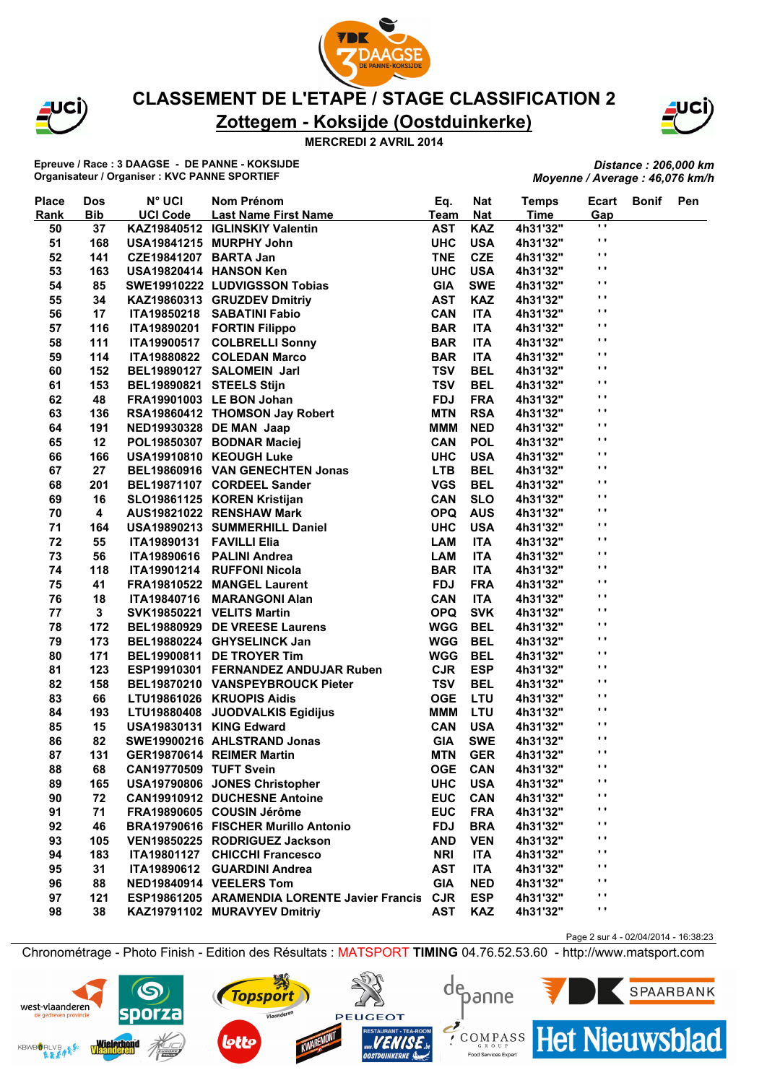



#### **MERCREDI 2 AVRIL 2014**

**Epreuve / Race : 3 DAAGSE - DE PANNE - KOKSIJDE Organisateur / Organiser : KVC PANNE SPORTIEF**

*Distance : 206,000 km Moyenne / Average : 46,076 km/h*

| <b>Place</b> | <b>Dos</b> | <b>N° UCI</b>            | Nom Prénom                                                                             | Eq.         | <b>Nat</b> | <b>Temps</b> | Ecart          | <b>Bonif</b> | Pen |
|--------------|------------|--------------------------|----------------------------------------------------------------------------------------|-------------|------------|--------------|----------------|--------------|-----|
| <b>Rank</b>  | <b>Bib</b> | <b>UCI Code</b>          | <b>Last Name First Name</b>                                                            | <b>Team</b> | <b>Nat</b> | <b>Time</b>  | Gap            |              |     |
| 50           | 37         |                          | KAZ19840512 IGLINSKIY Valentin                                                         | <b>AST</b>  | <b>KAZ</b> | 4h31'32"     | $\mathbf{r}$   |              |     |
| 51           | 168        |                          | USA19841215 MURPHY John                                                                | <b>UHC</b>  | <b>USA</b> | 4h31'32"     | $\blacksquare$ |              |     |
| 52           | 141        | CZE19841207 BARTA Jan    |                                                                                        | <b>TNE</b>  | <b>CZE</b> | 4h31'32"     | $\mathbf{r}$   |              |     |
| 53           | 163        | USA19820414 HANSON Ken   |                                                                                        | <b>UHC</b>  | <b>USA</b> | 4h31'32"     | $\blacksquare$ |              |     |
| 54           | 85         |                          | SWE19910222 LUDVIGSSON Tobias                                                          | <b>GIA</b>  | <b>SWE</b> | 4h31'32"     | $\mathbf{r}$ . |              |     |
| 55           | 34         |                          | KAZ19860313 GRUZDEV Dmitriy                                                            | <b>AST</b>  | <b>KAZ</b> | 4h31'32"     | $\mathbf{r}$   |              |     |
| 56           | 17         |                          | ITA19850218 SABATINI Fabio                                                             | <b>CAN</b>  | <b>ITA</b> | 4h31'32"     | $\mathbf{r}$   |              |     |
| 57           | 116        |                          | ITA19890201 FORTIN Filippo                                                             | <b>BAR</b>  | <b>ITA</b> | 4h31'32"     | $\blacksquare$ |              |     |
| 58           | 111        |                          | ITA19900517 COLBRELLI Sonny                                                            | <b>BAR</b>  | <b>ITA</b> | 4h31'32"     | $\mathbf{r}$   |              |     |
| 59           | 114        |                          | ITA19880822 COLEDAN Marco                                                              | <b>BAR</b>  | <b>ITA</b> | 4h31'32"     | $\mathbf{r}$   |              |     |
| 60           | 152        |                          | BEL19890127 SALOMEIN Jarl                                                              | <b>TSV</b>  | <b>BEL</b> | 4h31'32"     | $\mathbf{r}$   |              |     |
| 61           | 153        | BEL19890821 STEELS Stijn |                                                                                        | <b>TSV</b>  | <b>BEL</b> | 4h31'32"     | $\mathbf{r}$ . |              |     |
| 62           | 48         |                          | FRA19901003 LE BON Johan                                                               | <b>FDJ</b>  | <b>FRA</b> | 4h31'32"     | $\mathbf{r}$ . |              |     |
| 63           | 136        |                          | RSA19860412 THOMSON Jay Robert                                                         | <b>MTN</b>  | <b>RSA</b> | 4h31'32"     | $\mathbf{r}$   |              |     |
| 64           | 191        |                          | NED19930328 DE MAN Jaap                                                                | <b>MMM</b>  | <b>NED</b> | 4h31'32"     | $\blacksquare$ |              |     |
| 65           | 12         |                          | POL19850307 BODNAR Maciej                                                              | <b>CAN</b>  | <b>POL</b> | 4h31'32"     | $\mathbf{r}$   |              |     |
| 66           | 166        |                          |                                                                                        | <b>UHC</b>  | <b>USA</b> | 4h31'32"     | $\mathbf{r}$   |              |     |
| 67           | 27         |                          |                                                                                        | <b>LTB</b>  | <b>BEL</b> | 4h31'32"     | $\mathbf{r}$ . |              |     |
| 68           | 201        |                          | BEL19860916 VAN GENECHTEN Jonas<br>BEL19871107 COPPETI C<br>BEL19871107 CORDEEL Sander | <b>VGS</b>  | <b>BEL</b> | 4h31'32"     | $\mathbf{r}$ . |              |     |
| 69           | 16         |                          | SLO19861125 KOREN Kristijan                                                            | <b>CAN</b>  | <b>SLO</b> | 4h31'32"     | $\blacksquare$ |              |     |
| 70           | 4          |                          | AUS19821022 RENSHAW Mark                                                               | <b>OPQ</b>  | <b>AUS</b> | 4h31'32"     | $\blacksquare$ |              |     |
| 71           | 164        |                          | USA19890213 SUMMERHILL Daniel                                                          | <b>UHC</b>  | <b>USA</b> | 4h31'32"     | $\mathbf{r}$   |              |     |
| 72           | 55         | ITA19890131 FAVILLI Elia |                                                                                        | <b>LAM</b>  | <b>ITA</b> | 4h31'32"     | $\blacksquare$ |              |     |
| 73           | 56         |                          | ITA19890616 PALINI Andrea                                                              | <b>LAM</b>  | <b>ITA</b> | 4h31'32"     | $\mathbf{r}$ . |              |     |
| 74           | 118        |                          | ITA19901214 RUFFONI Nicola                                                             | <b>BAR</b>  | <b>ITA</b> | 4h31'32"     | $\mathbf{r}$   |              |     |
| 75           | 41         |                          | FRA19810522 MANGEL Laurent                                                             | <b>FDJ</b>  | <b>FRA</b> | 4h31'32"     | $\blacksquare$ |              |     |
| 76           | 18         |                          | ITA19840716 MARANGONI Alan                                                             | <b>CAN</b>  | <b>ITA</b> | 4h31'32"     | $\blacksquare$ |              |     |
| 77           | 3          |                          | SVK19850221 VELITS Martin                                                              | <b>OPQ</b>  | <b>SVK</b> | 4h31'32"     | $\mathbf{r}$   |              |     |
| 78           | 172        |                          | BEL19880929 DE VREESE Laurens                                                          | <b>WGG</b>  | <b>BEL</b> | 4h31'32"     | $\blacksquare$ |              |     |
| 79           | 173        |                          | BEL19880224 GHYSELINCK Jan                                                             | <b>WGG</b>  | <b>BEL</b> | 4h31'32"     | $\mathbf{r}$ . |              |     |
| 80           | 171        |                          | BEL19900811 DE TROYER Tim                                                              | WGG         | <b>BEL</b> | 4h31'32"     | $\mathbf{r}$ . |              |     |
| 81           | 123        |                          | ESP19910301 FERNANDEZ ANDUJAR Ruben                                                    | <b>CJR</b>  | <b>ESP</b> | 4h31'32"     | $\mathbf{r}$ . |              |     |
| 82           | 158        |                          | BEL19870210 VANSPEYBROUCK Pieter                                                       | <b>TSV</b>  | <b>BEL</b> | 4h31'32"     | $\blacksquare$ |              |     |
| 83           | 66         |                          | LTU19861026 KRUOPIS Aidis                                                              | <b>OGE</b>  | <b>LTU</b> | 4h31'32"     | $\blacksquare$ |              |     |
| 84           | 193        |                          | LTU19880408 JUODVALKIS Egidijus                                                        | <b>MMM</b>  | <b>LTU</b> | 4h31'32"     | $\mathbf{r}$   |              |     |
| 85           | 15         | USA19830131 KING Edward  |                                                                                        | <b>CAN</b>  | <b>USA</b> | 4h31'32"     | $\mathbf{r}$   |              |     |
| 86           | 82         |                          | SWE19900216 AHLSTRAND Jonas                                                            | <b>GIA</b>  | <b>SWE</b> | 4h31'32"     | $\mathbf{r}$ . |              |     |
| 87           | 131        |                          | GER19870614 REIMER Martin                                                              | <b>MTN</b>  | <b>GER</b> | 4h31'32"     | $\mathbf{r}$   |              |     |
| 88           | 68         | CAN19770509 TUFT Svein   |                                                                                        | <b>OGE</b>  | CAN        | 4h31'32"     | $\mathbf{r}$ . |              |     |
| 89           | 165        |                          | USA19790806 JONES Christopher                                                          | <b>UHC</b>  | <b>USA</b> | 4h31'32"     | $\mathbf{r}$   |              |     |
| 90           | 72         |                          | <b>CAN19910912 DUCHESNE Antoine</b>                                                    | <b>EUC</b>  | <b>CAN</b> | 4h31'32"     | $\mathbf{r}$   |              |     |
| 91           | 71         |                          | FRA19890605 COUSIN Jérôme                                                              | <b>EUC</b>  | <b>FRA</b> | 4h31'32"     | $\blacksquare$ |              |     |
| 92           | 46         |                          | BRA19790616 FISCHER Murillo Antonio                                                    | <b>FDJ</b>  | <b>BRA</b> | 4h31'32"     | $\mathbf{r}$   |              |     |
| 93           | 105        |                          | VEN19850225 RODRIGUEZ Jackson                                                          | <b>AND</b>  | <b>VEN</b> | 4h31'32"     | $\mathbf{r}$   |              |     |
| 94           | 183        |                          | ITA19801127 CHICCHI Francesco                                                          | <b>NRI</b>  | <b>ITA</b> | 4h31'32"     | $\cdot$        |              |     |
| 95           | 31         |                          | ITA19890612 GUARDINI Andrea                                                            | <b>AST</b>  | <b>ITA</b> | 4h31'32"     | $\mathbf{r}$   |              |     |
| 96           | 88         |                          | NED19840914 VEELERS Tom                                                                | <b>GIA</b>  | <b>NED</b> | 4h31'32"     | $\mathbf{r}$   |              |     |
| 97           | 121        |                          | ESP19861205 ARAMENDIA LORENTE Javier Francis                                           | <b>CJR</b>  | <b>ESP</b> | 4h31'32"     | $\mathbf{r}$   |              |     |
| 98           | 38         |                          | KAZ19791102 MURAVYEV Dmitriy                                                           | <b>AST</b>  | <b>KAZ</b> | 4h31'32"     | $\mathbf{r}$   |              |     |
|              |            |                          |                                                                                        |             |            |              |                |              |     |

Page 2 sur 4 - 02/04/2014 - 16:38:23

**Het Nieuwsblad** 

SPAARBANK

Chronométrage - Photo Finish - Edition des Résultats : MATSPORT **TIMING** 04.76.52.53.60 - http://www.matsport.com







Food Services Exper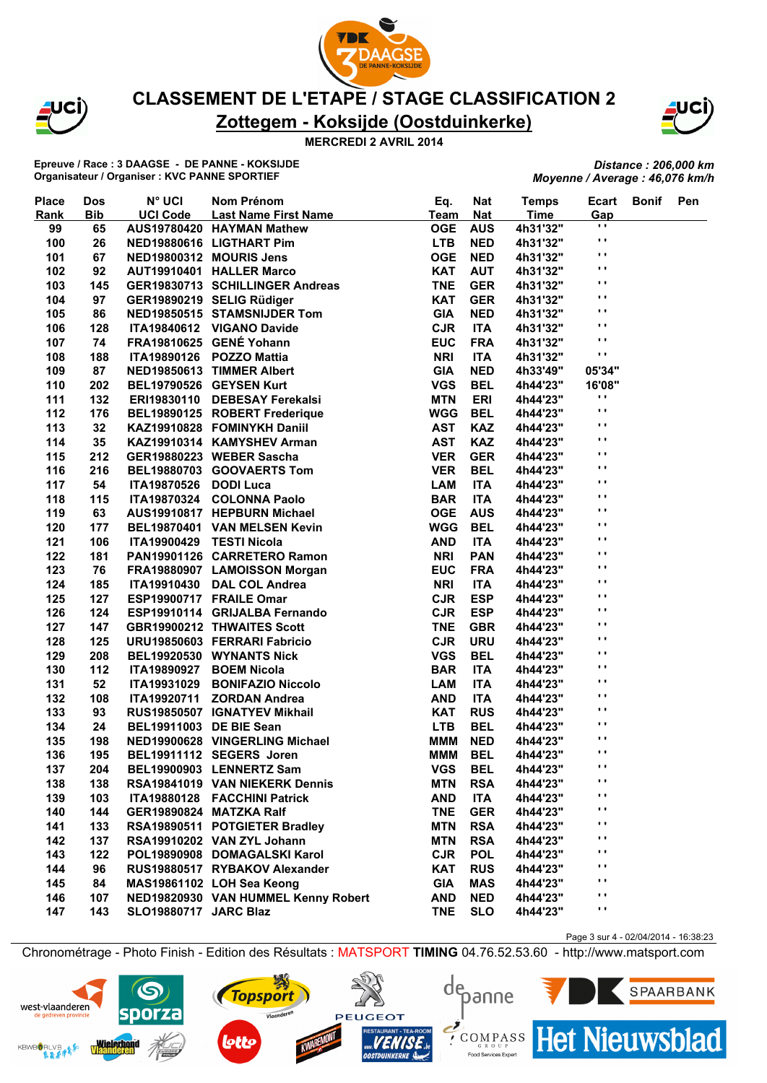



**MERCREDI 2 AVRIL 2014**

**Epreuve / Race : 3 DAAGSE - DE PANNE - KOKSIJDE Organisateur / Organiser : KVC PANNE SPORTIEF**

*Distance : 206,000 km Moyenne / Average : 46,076 km/h*

| <b>Place</b> | <b>Dos</b> | <b>N° UCI</b>                | Nom Prénom                          | Eq.         | <b>Nat</b> | <b>Temps</b> | Ecart          | <b>Bonif</b> | Pen |
|--------------|------------|------------------------------|-------------------------------------|-------------|------------|--------------|----------------|--------------|-----|
| Rank         | <b>Bib</b> | <b>UCI Code</b>              | <b>Last Name First Name</b>         | <b>Team</b> | <b>Nat</b> | <b>Time</b>  | Gap            |              |     |
| 99           | 65         |                              | AUS19780420 HAYMAN Mathew           | <b>OGE</b>  | <b>AUS</b> | 4h31'32"     | $\blacksquare$ |              |     |
| 100          | 26         |                              | NED19880616 LIGTHART Pim            | <b>LTB</b>  | <b>NED</b> | 4h31'32"     | $\cdot$ .      |              |     |
| 101          | 67         |                              | NED19800312 MOURIS Jens             | <b>OGE</b>  | <b>NED</b> | 4h31'32"     | $\mathbf{r}$ . |              |     |
| 102          | 92         |                              | AUT19910401 HALLER Marco            | <b>KAT</b>  | <b>AUT</b> | 4h31'32"     | $\mathbf{r}$ . |              |     |
| 103          | 145        |                              | GER19830713 SCHILLINGER Andreas     | <b>TNE</b>  | <b>GER</b> | 4h31'32"     | $\blacksquare$ |              |     |
| 104          | 97         |                              | GER19890219 SELIG Rüdiger           | <b>KAT</b>  | <b>GER</b> | 4h31'32"     | $\mathbf{r}$ . |              |     |
| 105          | 86         |                              | NED19850515 STAMSNIJDER Tom         | <b>GIA</b>  | <b>NED</b> | 4h31'32"     | . .            |              |     |
| 106          | 128        |                              | ITA19840612 VIGANO Davide           | <b>CJR</b>  | <b>ITA</b> | 4h31'32"     | $\blacksquare$ |              |     |
| 107          | 74         |                              | FRA19810625 GENÉ Yohann             | <b>EUC</b>  | <b>FRA</b> | 4h31'32"     | $\mathbf{r}$ . |              |     |
| 108          | 188        |                              | ITA19890126 POZZO Mattia            | <b>NRI</b>  | <b>ITA</b> | 4h31'32"     | $\mathbf{r}$   |              |     |
| 109          | 87         |                              | NED19850613 TIMMER Albert           | <b>GIA</b>  | <b>NED</b> | 4h33'49"     | 05'34"         |              |     |
| 110          | 202        |                              | BEL19790526 GEYSEN Kurt             | <b>VGS</b>  | <b>BEL</b> | 4h44'23"     | 16'08"         |              |     |
| 111          | 132        |                              | ERI19830110 DEBESAY Ferekalsi       | <b>MTN</b>  | <b>ERI</b> | 4h44'23"     | .,             |              |     |
| 112          | 176        |                              | BEL19890125 ROBERT Frederique       | <b>WGG</b>  | <b>BEL</b> | 4h44'23"     | .,             |              |     |
| 113          | 32         |                              | KAZ19910828 FOMINYKH Daniil         | <b>AST</b>  | <b>KAZ</b> | 4h44'23"     | $\mathbf{r}$ . |              |     |
| 114          | 35         |                              | KAZ19910314 KAMYSHEV Arman          | <b>AST</b>  | <b>KAZ</b> | 4h44'23"     | $\blacksquare$ |              |     |
| 115          | 212        |                              | GER19880223 WEBER Sascha            | <b>VER</b>  | <b>GER</b> | 4h44'23"     | $\mathbf{r}$ . |              |     |
| 116          | 216        |                              | BEL19880703 GOOVAERTS Tom           | <b>VER</b>  | <b>BEL</b> | 4h44'23"     | $\mathbf{r}$ . |              |     |
| 117          | 54         | ITA19870526 DODI Luca        |                                     | <b>LAM</b>  | <b>ITA</b> | 4h44'23"     | $\mathbf{r}$ . |              |     |
| 118          | 115        |                              | ITA19870324 COLONNA Paolo           | <b>BAR</b>  | <b>ITA</b> | 4h44'23"     | . .            |              |     |
| 119          | 63         |                              | AUS19910817 HEPBURN Michael         | <b>OGE</b>  | <b>AUS</b> | 4h44'23"     | $\blacksquare$ |              |     |
| 120          | 177        |                              | BEL19870401 VAN MELSEN Kevin        | <b>WGG</b>  | <b>BEL</b> | 4h44'23"     | $\blacksquare$ |              |     |
| 121          | 106        | ITA19900429 TESTI Nicola     |                                     | <b>AND</b>  | <b>ITA</b> | 4h44'23"     | Ω.             |              |     |
| 122          | 181        |                              | PAN19901126 CARRETERO Ramon         | <b>NRI</b>  | <b>PAN</b> | 4h44'23"     | $\mathbf{r}$ . |              |     |
| 123          | 76         |                              | FRA19880907 LAMOISSON Morgan        | <b>EUC</b>  | <b>FRA</b> | 4h44'23"     | Ω.             |              |     |
| 124          | 185        |                              | ITA19910430 DAL COL Andrea          | <b>NRI</b>  | <b>ITA</b> | 4h44'23"     | . .            |              |     |
| 125          | 127        |                              | ESP19900717 FRAILE Omar             | <b>CJR</b>  | <b>ESP</b> | 4h44'23"     | $\mathbf{r}$ . |              |     |
| 126          | 124        |                              | ESP19910114 GRIJALBA Fernando       | <b>CJR</b>  | <b>ESP</b> | 4h44'23"     | $\mathbf{r}$ . |              |     |
| 127          | 147        |                              | <b>GBR19900212 THWAITES Scott</b>   | <b>TNE</b>  | <b>GBR</b> | 4h44'23"     | $\blacksquare$ |              |     |
| 128          | 125        |                              | URU19850603 FERRARI Fabricio        | <b>CJR</b>  | <b>URU</b> | 4h44'23"     | $\mathbf{r}$ . |              |     |
| 129          | 208        |                              | BEL19920530 WYNANTS Nick            | <b>VGS</b>  | <b>BEL</b> | 4h44'23"     | $\mathbf{r}$ . |              |     |
| 130          | 112        | ITA19890927                  | <b>BOEM Nicola</b>                  | <b>BAR</b>  | <b>ITA</b> | 4h44'23"     | $\blacksquare$ |              |     |
| 131          | 52         | <b>ITA19931029</b>           | <b>BONIFAZIO Niccolo</b>            | <b>LAM</b>  | <b>ITA</b> | 4h44'23"     | .,             |              |     |
| 132          | 108        | ITA19920711                  | <b>ZORDAN Andrea</b>                | <b>AND</b>  | <b>ITA</b> | 4h44'23"     | Ω.             |              |     |
| 133          | 93         |                              | RUS19850507 IGNATYEV Mikhail        | <b>KAT</b>  | <b>RUS</b> | 4h44'23"     | $\mathbf{r}$ . |              |     |
| 134          | 24         | BEL19911003 DE BIE Sean      |                                     | <b>LTB</b>  | <b>BEL</b> | 4h44'23"     | $\mathbf{r}$   |              |     |
| 135          | 198        |                              | NED19900628 VINGERLING Michael      | <b>MMM</b>  | <b>NED</b> | 4h44'23"     | $\mathbf{r}$ . |              |     |
| 136          | 195        |                              | BEL19911112 SEGERS Joren            | <b>MMM</b>  | <b>BEL</b> | 4h44'23"     | $\mathbf{r}$ . |              |     |
|              |            |                              | BEL19900903 LENNERTZ Sam            | <b>VGS</b>  | <b>BEL</b> |              | $\blacksquare$ |              |     |
| 137          | 204        |                              |                                     |             |            | 4h44'23"     | $\mathbf{r}$   |              |     |
| 138          | 138        |                              | RSA19841019 VAN NIEKERK Dennis      | <b>MTN</b>  | <b>RSA</b> | 4h44'23"     | .,             |              |     |
| 139          | 103        |                              | ITA19880128 FACCHINI Patrick        | <b>AND</b>  | ITA        | 4h44'23"     | .,             |              |     |
| 140          | 144        | GER19890824 MATZKA Ralf      |                                     | <b>TNE</b>  | <b>GER</b> | 4h44'23"     | $\mathbf{r}$   |              |     |
| 141          | 133        |                              | RSA19890511 POTGIETER Bradley       | <b>MTN</b>  | <b>RSA</b> | 4h44'23"     | . .            |              |     |
| 142          | 137        |                              | RSA19910202 VAN ZYL Johann          | <b>MTN</b>  | <b>RSA</b> | 4h44'23"     | .,             |              |     |
| 143          | 122        |                              | POL19890908 DOMAGALSKI Karol        | <b>CJR</b>  | <b>POL</b> | 4h44'23"     | .,             |              |     |
| 144          | 96         |                              | RUS19880517 RYBAKOV Alexander       | <b>KAT</b>  | <b>RUS</b> | 4h44'23"     | $\mathbf{r}$   |              |     |
| 145          | 84         |                              | MAS19861102 LOH Sea Keong           | <b>GIA</b>  | MAS        | 4h44'23"     | .,             |              |     |
| 146          | 107        |                              | NED19820930 VAN HUMMEL Kenny Robert | <b>AND</b>  | <b>NED</b> | 4h44'23"     | $\mathbf{r}$   |              |     |
| 147          | 143        | <b>SLO19880717 JARC Blaz</b> |                                     | <b>TNE</b>  | <b>SLO</b> | 4h44'23"     |                |              |     |

Page 3 sur 4 - 02/04/2014 - 16:38:23

**Het Nieuwsblad** 

SPAARBANK

Chronométrage - Photo Finish - Edition des Résultats : MATSPORT **TIMING** 04.76.52.53.60 - http://www.matsport.com

**PEUGEOT** 

**Topsport** 

Vlaanderen

depanne

 $\sum_{\text{c} \text{R}}$ 

Food Services Exper

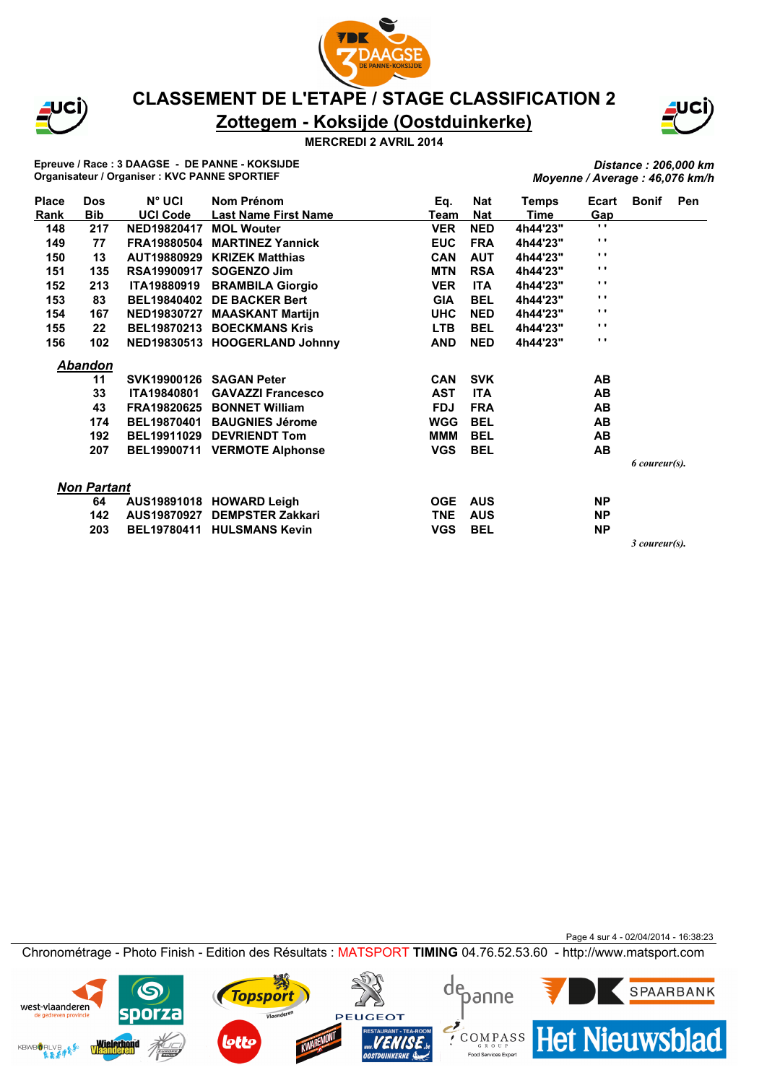





#### **MERCREDI 2 AVRIL 2014**

**Epreuve / Race : 3 DAAGSE - DE PANNE - KOKSIJDE Organisateur / Organiser : KVC PANNE SPORTIEF**

*Distance : 206,000 km Moyenne / Average : 46,076 km/h*

| <b>Place</b> | <b>Dos</b>         | N° UCI             | Nom Prénom                    | Eq.        | Nat        | Temps    | Ecart          | <b>Bonif</b>  | Pen |
|--------------|--------------------|--------------------|-------------------------------|------------|------------|----------|----------------|---------------|-----|
| Rank         | <b>Bib</b>         | <b>UCI Code</b>    | <b>Last Name First Name</b>   | Team       | <b>Nat</b> | Time     | Gap            |               |     |
| 148          | 217                | NED19820417        | <b>MOL Wouter</b>             | <b>VER</b> | <b>NED</b> | 4h44'23" | $\mathbf{r}$ . |               |     |
| 149          | 77                 | FRA19880504        | <b>MARTINEZ Yannick</b>       | <b>EUC</b> | <b>FRA</b> | 4h44'23" | $\mathbf{r}$ . |               |     |
| 150          | 13                 | AUT19880929        | <b>KRIZEK Matthias</b>        | <b>CAN</b> | <b>AUT</b> | 4h44'23" | $\mathbf{r}$ . |               |     |
| 151          | 135                | <b>RSA19900917</b> | <b>SOGENZO Jim</b>            | <b>MTN</b> | <b>RSA</b> | 4h44'23" | $\mathbf{r}$ . |               |     |
| 152          | 213                | <b>ITA19880919</b> | <b>BRAMBILA Giorgio</b>       | <b>VER</b> | <b>ITA</b> | 4h44'23" | $\mathbf{r}$ . |               |     |
| 153          | 83                 | <b>BEL19840402</b> | <b>DE BACKER Bert</b>         | <b>GIA</b> | <b>BEL</b> | 4h44'23" | $\mathbf{r}$ . |               |     |
| 154          | 167                | <b>NED19830727</b> | <b>MAASKANT Martijn</b>       | <b>UHC</b> | <b>NED</b> | 4h44'23" | $\mathbf{r}$ . |               |     |
| 155          | 22                 | <b>BEL19870213</b> | <b>BOECKMANS Kris</b>         | <b>LTB</b> | <b>BEL</b> | 4h44'23" | $\mathbf{r}$ . |               |     |
| 156          | 102                |                    | NED19830513 HOOGERLAND Johnny | <b>AND</b> | <b>NED</b> | 4h44'23" | $\mathbf{r}$ . |               |     |
|              | <b>Abandon</b>     |                    |                               |            |            |          |                |               |     |
|              | 11                 |                    | SVK19900126 SAGAN Peter       | <b>CAN</b> | <b>SVK</b> |          | AB             |               |     |
|              | 33                 | <b>ITA19840801</b> | <b>GAVAZZI Francesco</b>      | <b>AST</b> | <b>ITA</b> |          | AB             |               |     |
|              | 43                 | FRA19820625        | <b>BONNET William</b>         | <b>FDJ</b> | <b>FRA</b> |          | AB             |               |     |
|              | 174                | <b>BEL19870401</b> | <b>BAUGNIES Jérome</b>        | <b>WGG</b> | <b>BEL</b> |          | AB             |               |     |
|              | 192                | <b>BEL19911029</b> | <b>DEVRIENDT Tom</b>          | МММ        | <b>BEL</b> |          | AB             |               |     |
|              | 207                | <b>BEL19900711</b> | <b>VERMOTE Alphonse</b>       | <b>VGS</b> | <b>BEL</b> |          | <b>AB</b>      |               |     |
|              |                    |                    |                               |            |            |          |                | 6 coureur(s). |     |
|              | <b>Non Partant</b> |                    |                               |            |            |          |                |               |     |
|              | 64                 |                    | AUS19891018 HOWARD Leigh      | <b>OGE</b> | <b>AUS</b> |          | <b>NP</b>      |               |     |
|              | 142                | AUS19870927        | <b>DEMPSTER Zakkari</b>       | <b>TNE</b> | <b>AUS</b> |          | <b>NP</b>      |               |     |
|              | 203                | <b>BEL19780411</b> | <b>HULSMANS Kevin</b>         | <b>VGS</b> | <b>BEL</b> |          | <b>NP</b>      |               |     |
|              |                    |                    |                               |            |            |          |                | 3 coureur(s). |     |

Page 4 sur 4 - 02/04/2014 - 16:38:23 Chronométrage - Photo Finish - Edition des Résultats : MATSPORT **TIMING** 04.76.52.53.60 - http://www.matsport.com

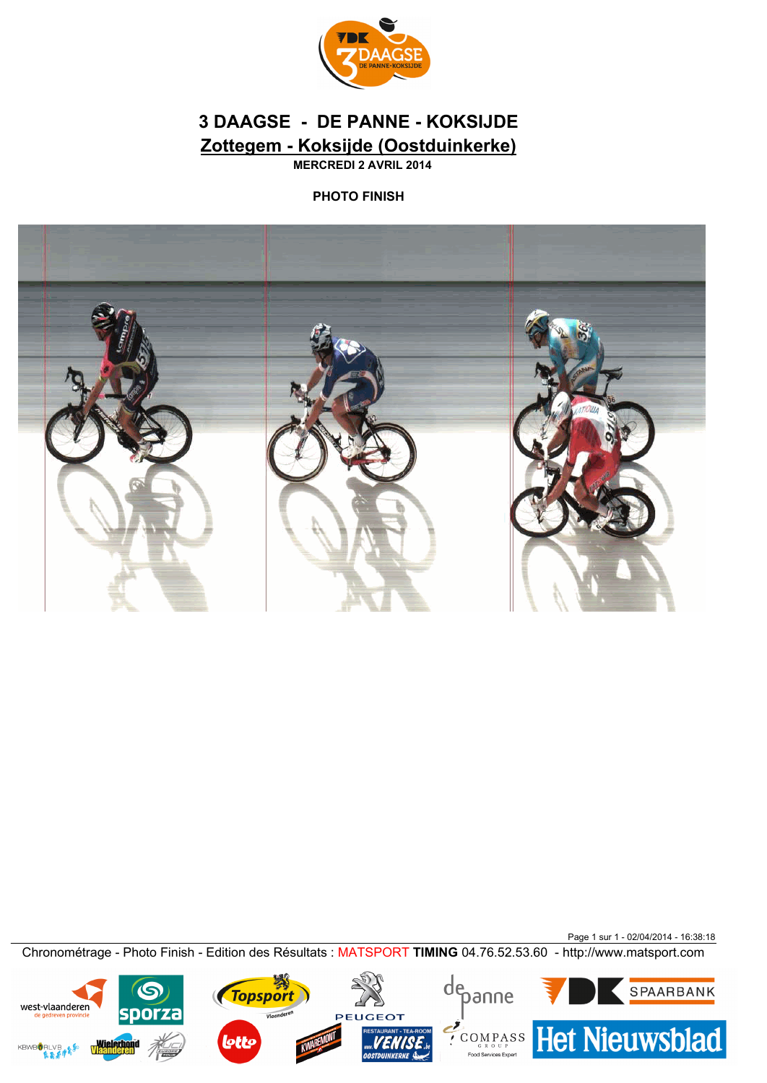

# **Zottegem - Koksijde (Oostduinkerke) 3 DAAGSE - DE PANNE - KOKSIJDE**

**MERCREDI 2 AVRIL 2014**

### **PHOTO FINISH**



Page 1 sur 1 - 02/04/2014 - 16:38:18 Chronométrage - Photo Finish - Edition des Résultats : MATSPORT **TIMING** 04.76.52.53.60 - http://www.matsport.com

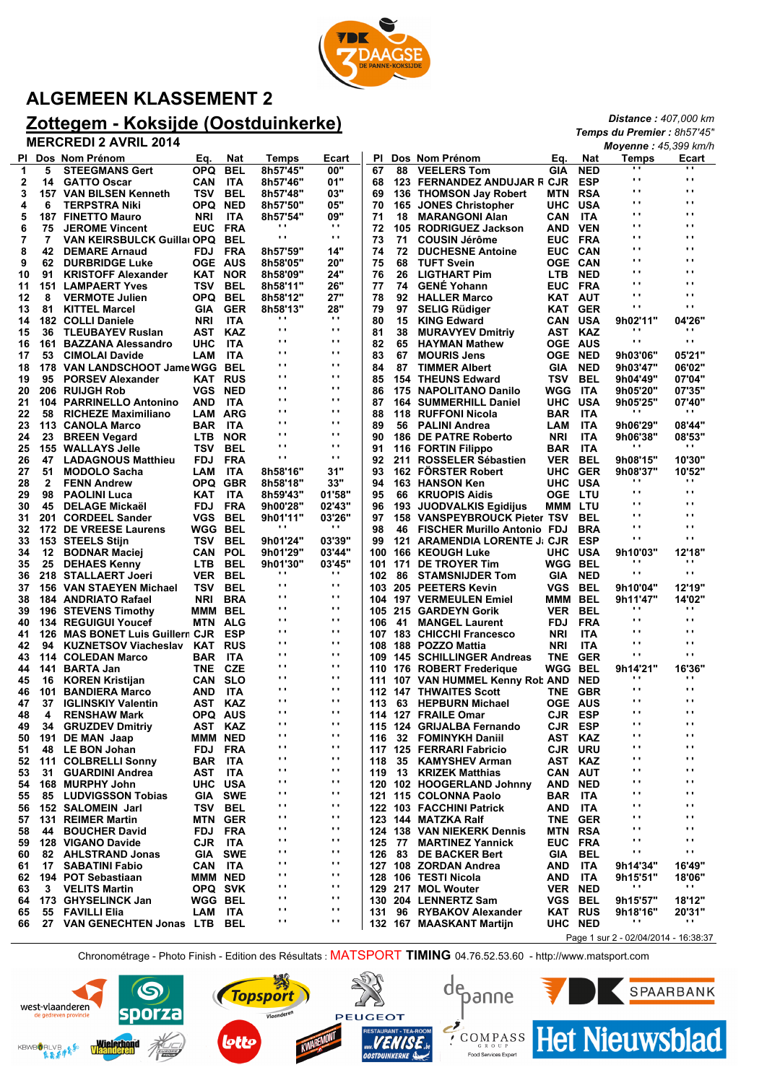

# **ALGEMEEN KLASSEMENT 2**

# **Zottegem - Koksijde (Oostduinkerke)**

**MERCREDI 2 AVRIL 2014**

|    |     | <b>MERCREDI 2 AVRIL 2014</b>       |                |                |                    |                                |           |        |                                    |                |                | Moyenne: 45,399 km/h                  |                            |
|----|-----|------------------------------------|----------------|----------------|--------------------|--------------------------------|-----------|--------|------------------------------------|----------------|----------------|---------------------------------------|----------------------------|
|    |     | PI Dos Nom Prénom                  | Eq.            | Nat            | <b>Temps</b>       | Ecart                          | <b>PI</b> |        | Dos Nom Prénom                     | Eq.            | <b>Nat</b>     | <b>Temps</b>                          | Ecart                      |
| 1  | 5   | <b>STEEGMANS Gert</b>              | OPQ.           | BEL            | 8h57'45"           | 00"                            | 67        | 88     | <b>VEELERS Tom</b>                 | GIA            | <b>NED</b>     | $\cdots$                              |                            |
| 2  | 14  | <b>GATTO Oscar</b>                 | CAN            | ITA            | 8h57'46"           | 01"                            | 68        |        | 123 FERNANDEZ ANDUJAR F CJR        |                | <b>ESP</b>     | $\mathbf{r}$ .                        | $\cdots$                   |
| 3  |     | 157 VAN BILSEN Kenneth             | TSV            | BEL            | 8h57'48"           | 03"                            | 69        |        | 136 THOMSON Jay Robert             | MTN            | <b>RSA</b>     | $\mathbf{r}$ .                        | $\mathbf{r}$ .             |
| 4  | 6   | <b>TERPSTRA Niki</b>               | OPQ            | <b>NED</b>     | 8h57'50"           | 05"                            | 70        | 165    | <b>JONES Christopher</b>           | UHC            | <b>USA</b>     | $\mathbf{r}$ .                        | $\mathbf{r}$ .             |
| 5  |     | <b>187 FINETTO Mauro</b>           | <b>NRI</b>     | <b>ITA</b>     | 8h57'54"           | 09"                            | 71        | 18     | <b>MARANGONI Alan</b>              | CAN            | ITA            | $\bullet$ .                           | $\mathbf{r}$ .             |
| 6  | 75  | <b>JEROME Vincent</b>              | <b>EUC</b>     | <b>FRA</b>     | $\blacksquare$     | $\mathbf{r}$                   | 72        | 105    | <b>RODRIGUEZ Jackson</b>           | AND            | <b>VEN</b>     | $\bullet$ .                           | $\mathbf{r}$ .             |
| 7  | 7   | <b>VAN KEIRSBULCK Guilla OPQ</b>   |                | BEL            | $\mathbf{r}$       | $\mathbf{r}$ ,                 | 73        | 71     | <b>COUSIN Jérôme</b>               | <b>EUC</b>     | FRA            | $\mathbf{r}$ .                        | $\mathbf{r}$ .             |
| 8  | 42  | <b>DEMARE Arnaud</b>               | <b>FDJ</b>     | <b>FRA</b>     | 8h57'59"           | 14"                            | 74        | 72     | <b>DUCHESNE Antoine</b>            | <b>EUC</b>     | CAN            | $\mathbf{r}$ .                        | $\mathbf{r}$ .             |
| 9  | 62  | <b>DURBRIDGE Luke</b>              | <b>OGE AUS</b> |                | 8h58'05"           | 20"                            | 75        | 68     | <b>TUFT Svein</b>                  | <b>OGE CAN</b> |                | $\bullet$ $\bullet$                   | $\mathbf{r}$ .             |
| 10 | 91  | <b>KRISTOFF Alexander</b>          | KAT            | <b>NOR</b>     | 8h58'09"           | 24"                            | 76        | 26     | <b>LIGTHART Pim</b>                | LTB            | <b>NED</b>     | $\bullet$ $\bullet$                   | $\mathbf{r}$ .             |
| 11 |     | <b>151 LAMPAERT Yves</b>           | TSV            | BEL            | 8h58'11"           | 26"                            | 77        | 74     | <b>GENE Yohann</b>                 | <b>EUC</b>     | FRA            | $\mathbf{r}$ .                        | $\mathbf{r}$ .             |
| 12 | 8   | <b>VERMOTE Julien</b>              | OPQ.           | BEL            | 8h58'12"           | 27"                            | 78        | 92     | <b>HALLER Marco</b>                | KAT AUT        |                | $\bullet$ .                           | $\mathbf{r}$ .             |
| 13 | 81  | <b>KITTEL Marcel</b>               | GIA            | <b>GER</b>     | 8h58'13"           | 28"<br>$\mathbf{r}$            | 79        | 97     | <b>SELIG Rüdiger</b>               |                | <b>KAT GER</b> | $\mathbf{r}$ .                        | $\mathbf{r}$ .             |
| 14 | 182 | <b>COLLI Daniele</b>               | <b>NRI</b>     | ITA            | $\cdot$            |                                | 80        | 15     | <b>KING Edward</b>                 | CAN            | USA            | 9h02'11"                              | 04'26"                     |
| 15 | 36  | <b>TLEUBAYEV Ruslan</b>            | AST            | KAZ            | $\mathbf{r}$<br>Ω. | $\mathbf{r}$ ,<br>$\mathbf{r}$ | 81        | 38     | <b>MURAVYEV Dmitriy</b>            | AST            | KAZ            | $\blacksquare$<br>$\bullet$ $\bullet$ | $\cdots$<br>$\blacksquare$ |
| 16 | 161 | <b>BAZZANA Alessandro</b>          | инс            | ITA            |                    | $\mathbf{r}$                   | 82        | 65     | <b>HAYMAN Mathew</b>               | <b>OGE</b>     | AUS            |                                       |                            |
| 17 | 53  | <b>CIMOLAI Davide</b>              | LAM            | ITA            | $\cdot$            |                                | 83        | 67     | <b>MOURIS Jens</b>                 | <b>OGE</b>     | <b>NED</b>     | 9h03'06"                              | 05'21"                     |
| 18 | 178 | VAN LANDSCHOOT Jame WGG            |                | <b>BEL</b>     | $\cdot$<br>$\cdot$ | $\mathbf{r}$<br>$\mathbf{r}$   | 84        | 87     | <b>TIMMER Albert</b>               | GIA            | <b>NED</b>     | 9h03'47"                              | 06'02"                     |
| 19 | 95  | <b>PORSEV Alexander</b>            | KAT            | <b>RUS</b>     | $\cdot$            | $\mathbf{r}$                   | 85        | 154    | <b>THEUNS Edward</b>               | TSV            | BEL            | 9h04'49"                              | 07'04"                     |
| 20 |     | 206 RUIJGH Rob                     | VGS            | <b>NED</b>     | $\mathbf{r}$       | $\mathbf{r}$ .                 | 86        | 175    | <b>NAPOLITANO Danilo</b>           | WGG            | ITA            | 9h05'20"                              | 07'35"                     |
| 21 | 104 | <b>PARRINELLO Antonino</b>         | AND            | ITA            | $\mathbf{r}$ .     | $\mathbf{r}$                   | 87        |        | <b>164 SUMMERHILL Daniel</b>       | <b>UHC</b>     | USA            | 9h05'25"                              | 07'40"<br>$\cdots$         |
| 22 | 58  | <b>RICHEZE Maximiliano</b>         | LAM            | ARG            | $\mathbf{r}$       | $\mathbf{r}$                   | 88        | 118    | <b>RUFFONI Nicola</b>              | BAR            | <b>ITA</b>     |                                       |                            |
| 23 |     | 113 CANOLA Marco                   | BAR            | ITA            |                    |                                | 89        | 56     | <b>PALINI Andrea</b>               | LAM            | <b>ITA</b>     | 9h06'29"                              | 08'44"                     |
| 24 | 23  | <b>BREEN Vegard</b>                | <b>LTB</b>     | <b>NOR</b>     | $\cdot$            | $\mathbf{r}$                   | 90        |        | 186 DE PATRE Roberto               | <b>NRI</b>     | ITA            | 9h06'38"                              | 08'53"                     |
| 25 | 155 | <b>WALLAYS Jelle</b>               | TSV            | BEL            | $\mathbf{r}$       | $\mathbf{r}$                   | 91        |        | 116 FORTIN Filippo                 | BAR            | ITA            |                                       | $\cdots$                   |
| 26 | 47  | <b>LADAGNOUS Matthieu</b>          | <b>FDJ</b>     | <b>FRA</b>     | $\mathbf{r}$       | $\mathbf{r}$                   | 92        | 211    | <b>ROSSELER Sébastien</b>          | VER            | <b>BEL</b>     | 9h08'15"                              | 10'30"                     |
| 27 | 51  | <b>MODOLO Sacha</b>                | LAM            | ITA            | 8h58'16"           | 31"                            | 93        |        | <b>162 FORSTER Robert</b>          | <b>UHC</b>     | <b>GER</b>     | 9h08'37"                              | 10'52"                     |
| 28 | 2   | <b>FENN Andrew</b>                 | OPQ.           | <b>GBR</b>     | 8h58'18"           | 33"                            | 94        |        | 163 HANSON Ken                     | <b>UHC</b>     | USA            | $\blacksquare$                        | $\cdots$                   |
| 29 | 98  | <b>PAOLINI Luca</b>                | KAT            | ITA            | 8h59'43"           | 01'58"                         | 95        | 66     | <b>KRUOPIS Aidis</b>               | <b>OGE</b>     | LTU            | $\mathbf{r}$ .                        | $\mathbf{r}$ .             |
| 30 | 45  | <b>DELAGE Mickaël</b>              | <b>FDJ</b>     | <b>FRA</b>     | 9h00'28"           | 02'43"                         | 96        | 193    | <b>JUODVALKIS Egidijus</b>         | МММ            | LTU            | $\mathbf{r}$ .                        | $\blacksquare$             |
| 31 | 201 | <b>CORDEEL Sander</b>              | VGS            | BEL            | 9h01'11"           | 03'26"                         | 97        | 158    | <b>VANSPEYBROUCK Pieter TSV</b>    |                | BEL            | $\mathbf{r}$ .                        | $\mathbf{r}$ .             |
| 32 |     | 172 DE VREESE Laurens              | WGG            | BEL            | .,                 | $\mathbf{r}$                   | 98        | 46     | <b>FISCHER Murillo Antonio FDJ</b> |                | <b>BRA</b>     | $\mathbf{r}$ .                        | $\mathbf{r}$ .             |
| 33 |     | 153 STEELS Stijn                   | TSV            | BEL            | 9h01'24"           | 03'39"                         | 99        | 121    | <b>ARAMENDIA LORENTE J: CJR</b>    |                | <b>ESP</b>     | $\bullet$ $\bullet$                   | $\mathbf{r}$ .             |
| 34 | 12  | <b>BODNAR Maciej</b>               | CAN            | <b>POL</b>     | 9h01'29"           | 03'44"                         | 100       |        | 166 KEOUGH Luke                    | <b>UHC</b>     | USA            | 9h10'03"                              | 12'18"                     |
| 35 | 25  | <b>DEHAES Kenny</b>                | <b>LTB</b>     | BEL            | 9h01'30"           | 03'45"                         | 101       | 171    | DE TROYER Tim                      | WGG BEL        |                | $\cdots$                              | $\cdots$                   |
| 36 | 218 | <b>STALLAERT Joeri</b>             | <b>VER</b>     | <b>BEL</b>     | $\cdot$            | $\mathbf{r}$                   | 102       | 86     | <b>STAMSNIJDER Tom</b>             | GIA            | <b>NED</b>     | $\bullet$ .                           | $\blacksquare$             |
| 37 |     | <b>156 VAN STAEYEN Michael</b>     | TSV            | <b>BEL</b>     | $\mathbf{r}$       | $\mathbf{r}$ ,                 | 103       |        | 205 PEETERS Kevin                  | VGS            | <b>BEL</b>     | 9h10'04"                              | 12'19"                     |
| 38 |     | 184 ANDRIATO Rafael                | NRI            | <b>BRA</b>     | $\mathbf{r}$       | $\mathbf{r}$                   | 104       |        | <b>197 VERMEULEN Emiel</b>         | МММ            | <b>BEL</b>     | 9h11'47"                              | 14'02"                     |
| 39 |     | 196 STEVENS Timothy                | МММ            | BEL            | $\mathbf{r}$ .     | $\mathbf{r}$ .                 | 105       |        | 215 GARDEYN Gorik                  | <b>VER</b>     | BEL            | $\blacksquare$                        | $\blacksquare$             |
| 40 |     | <b>134 REGUIGUI Youcef</b>         | MTN            | <b>ALG</b>     | $\mathbf{r}$ .     | $\mathbf{r}$ .                 | 106       | 41     | <b>MANGEL Laurent</b>              | <b>FDJ</b>     | <b>FRA</b>     | $\mathbf{r}$ .                        | $\mathbf{r}$ .             |
| 41 | 126 | <b>MAS BONET Luis Guillerr CJR</b> |                | <b>ESP</b>     | $\mathbf{r}$       | $\mathbf{r}$ .                 |           |        | 107 183 CHICCHI Francesco          | <b>NRI</b>     | ITA            | $\bullet$ $\bullet$                   | $\mathbf{r}$ .             |
| 42 | 94  | <b>KUZNETSOV Viacheslav</b>        | KAT            | <b>RUS</b>     | $\mathbf{r}$       | $\mathbf{r}$                   | 108       |        | 188 POZZO Mattia                   | <b>NRI</b>     | <b>ITA</b>     | $\mathbf{r}$ .                        | $\mathbf{r}$ .             |
| 43 |     | 114 COLEDAN Marco                  | BAR            | ITA            | $\mathbf{r}$       | $\mathbf{r}$ ,                 | 109       |        | <b>145 SCHILLINGER Andreas</b>     | TNE            | <b>GER</b>     | $\mathbf{r}$ .                        | $\blacksquare$             |
| 44 | 141 | <b>BARTA Jan</b>                   | <b>TNE</b>     | <b>CZE</b>     | $\mathbf{r}$       | $\mathbf{r}$ ,                 | 110       |        | 176 ROBERT Frederique              | WGG            | BEL            | 9h14'21"                              | 16'36"                     |
| 45 | 16  | <b>KOREN Kristijan</b>             | CAN            | <b>SLO</b>     | $\mathbf{r}$       | $\mathbf{r}$ .                 | 111       |        | 107 VAN HUMMEL Kenny Rot AND       |                | <b>NED</b>     | $\blacksquare$                        | $\cdots$                   |
| 46 | 101 | <b>BANDIERA Marco</b>              | AND            | <b>ITA</b>     | Ω.                 | $\mathbf{r}$ .                 | 112       |        | <b>147 THWAITES Scott</b>          | TNE            | <b>GBR</b>     | $\mathbf{r}$ .                        | $\mathbf{r}$ .             |
| 47 | 37  | <b>IGLINSKIY Valentin</b>          | AST            | KAZ            | $\mathbf{r}$ .     | $\mathbf{r}$ .                 | 113       |        | 63 HEPBURN Michael                 | <b>OGE AUS</b> |                | $\bullet$ $\bullet$                   | $\mathbf{r}$ .             |
| 48 | 4   | <b>RENSHAW Mark</b>                | OPQ AUS        |                | $\mathbf{r}$ .     | $\mathbf{r}$ .                 |           |        | 114 127 FRAILE Omar                | CJR ESP        |                | $\bullet$ $\bullet$                   | $\mathbf{r}$ .             |
| 49 |     | 34 GRUZDEV Dmitriy                 | AST KAZ        |                | $\cdot$            | $\mathbf{r}$                   |           |        | 115 124 GRIJALBA Fernando          | <b>CJR ESP</b> |                | $\bullet$ .                           | $\blacksquare$             |
| 50 |     | 191 DE MAN Jaap                    | MMM NED        |                | $\mathbf{r}$       | $\mathbf{r}$ ,                 | 116       |        | 32 FOMINYKH Daniil                 | AST KAZ        |                | $\mathbf{r}$ .                        | $\blacksquare$             |
| 51 |     | 48 LE BON Johan                    | FDJ FRA        |                | $\mathbf{r}$       | $\mathbf{r}$ ,                 |           |        | 117 125 FERRARI Fabricio           | <b>CJR URU</b> |                | $\bullet$ .                           | $\blacksquare$             |
| 52 |     | 111 COLBRELLI Sonny                | BAR            | ITA            | $\mathbf{r}$       | $\mathbf{r}$                   | 118       |        | 35 KAMYSHEV Arman                  | AST KAZ        |                | $\mathbf{r}$ .                        | $\mathbf{r}$ .             |
| 53 | 31  | <b>GUARDINI Andrea</b>             | AST            | - ITA          | $\cdot$            | $\mathbf{r}$                   |           |        | 119 13 KRIZEK Matthias             | <b>CAN AUT</b> |                | $\mathbf{r}$ .                        | $\mathbf{r}$ .             |
| 54 |     | 168 MURPHY John                    | UHC.           | USA            | $\cdot$            | $\mathbf{r}$                   |           |        | 120 102 HOOGERLAND Johnny          | AND NED        |                | $\bullet$ .                           | $\mathbf{r}$ .             |
| 55 |     | 85 LUDVIGSSON Tobias               |                | <b>GIA SWE</b> | $\mathbf{r}$       | $\mathbf{r}$                   |           |        | 121 115 COLONNA Paolo              | <b>BAR ITA</b> |                | $\bullet$ .                           | $\blacksquare$             |
| 56 |     | 152 SALOMEIN Jarl                  | TSV            | BEL            | $\cdot$            | $\mathbf{r}$                   |           |        | 122 103 FACCHINI Patrick           | AND            | ITA            | $\bullet$ .                           | $\blacksquare$             |
| 57 |     | 131 REIMER Martin                  |                | <b>MTN GER</b> | $\mathbf{r}$       | $\mathbf{r}$                   |           |        | 123 144 MATZKA Ralf                |                | TNE GER        | $\bullet$ .                           | $\blacksquare$             |
| 58 | 44  | <b>BOUCHER David</b>               | FDJ            | FRA            | $\mathbf{r}$       | $\mathbf{r}$                   |           |        | 124 138 VAN NIEKERK Dennis         | MTN RSA        |                | $\bullet$ .                           | $\mathbf{r}$ .             |
| 59 |     | 128 VIGANO Davide                  | CJR ITA        |                | $\mathbf{r}$       | $\mathbf{r}$                   |           | 125 77 | <b>MARTINEZ Yannick</b>            | EUC FRA        |                | $\mathbf{r}$ .                        | $\blacksquare$             |
| 60 |     | 82 AHLSTRAND Jonas                 |                | <b>GIA SWE</b> | $\mathbf{r}$       | $\mathbf{r}$                   | 126       |        | 83 DE BACKER Bert                  | <b>GIA</b>     | BEL            | $\bullet$                             | $\blacksquare$             |
| 61 | 17  | <b>SABATINI Fabio</b>              | CAN ITA        |                | $\mathbf{r}$       | $\mathbf{r}$                   |           |        | 127 108 ZORDAN Andrea              | AND            | ITA            | 9h14'34"                              | 16'49"                     |
| 62 |     | 194 POT Sebastiaan                 | MMM NED        |                | $\cdot$            | $\mathbf{r}$                   |           |        | 128 106 TESTI Nicola               | AND            | ITA            | 9h15'51"                              | 18'06"                     |
| 63 | 3   | <b>VELITS Martin</b>               |                | OPQ SVK        | $\mathbf{r}$       | $\mathbf{r}$                   |           |        | 129 217 MOL Wouter                 | <b>VER NED</b> |                | $\cdot$                               | $\cdot$ .                  |
| 64 |     | 173 GHYSELINCK Jan                 | <b>WGG BEL</b> |                | $\mathbf{r}$       | $\mathbf{r}$                   |           |        | 130 204 LENNERTZ Sam               | VGS BEL        |                | 9h15'57"                              | 18'12"                     |
| 65 | 55  | <b>FAVILLI Elia</b>                | LAM ITA        |                | $\blacksquare$     | $\mathbf{r}$                   | 131       |        | 96 RYBAKOV Alexander               | <b>KAT RUS</b> |                | 9h18'16"                              | 20'31"                     |
| 66 | 27  | <b>VAN GENECHTEN Jonas LTB</b>     |                | BEL            | $\cdot$            | $\mathbf{r}$ ,                 |           |        | 132 167 MAASKANT Martijn           | UHC NED        |                | $\mathbf{r}$ .                        | $\bullet$                  |
|    |     |                                    |                |                |                    |                                |           |        |                                    |                |                | Page 1 sur 2 - 02/04/2014 - 16:38:37  |                            |

Chronométrage - Photo Finish - Edition des Résultats : MATSPORT **TIMING** 04.76.52.53.60 - http://www.matsport.com



*Distance : 407,000 km Temps du Premier : 8h57'45"*

15 west-vlaanderen DOI 2 **KBWBORLVB.A** Wielerho



**PEUGEOT** 

**EQALPASS** Het Nieuwsblad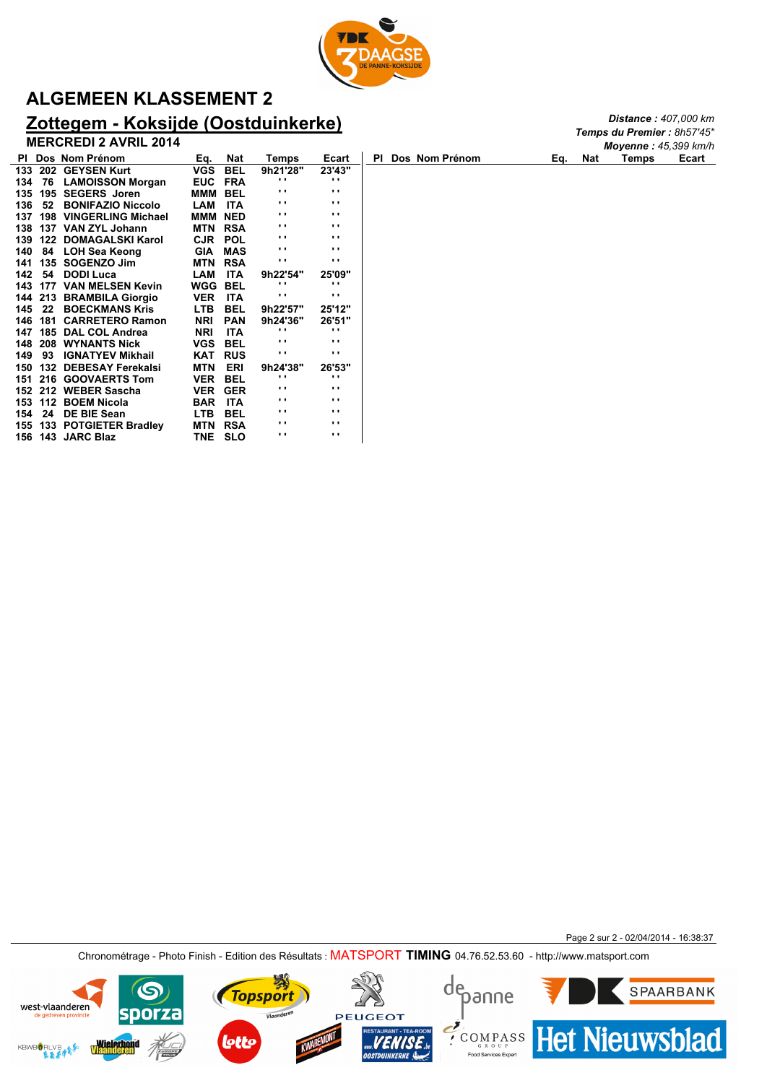

# **ALGEMEEN KLASSEMENT 2**

## **Zottegem - Koksijde (Oostduinkerke)**

**MERCREDI 2 AVRIL 2014**

|           | <b>MERCREDI 2 AVRIL 2014</b>    |                |            |              |              |     |                |     |     | <b>Moyenne: 45,399 km/h</b> |       |
|-----------|---------------------------------|----------------|------------|--------------|--------------|-----|----------------|-----|-----|-----------------------------|-------|
|           | PI Dos Nom Prénom               | Eq.            | Nat        | Temps        | Ecart        | PI. | Dos Nom Prénom | Eq. | Nat | Temps                       | Ecart |
| 133       | 202 GEYSEN Kurt                 | VGS            | <b>BEL</b> | 9h21'28"     | 23'43"       |     |                |     |     |                             |       |
| 134       | <b>LAMOISSON Morgan</b><br>76   | <b>EUC</b>     | FRA        | . .          | . .          |     |                |     |     |                             |       |
| 135       | 195 SEGERS Joren                | MMM BEL        |            | $\mathbf{r}$ | $\mathbf{r}$ |     |                |     |     |                             |       |
| 136       | <b>BONIFAZIO Niccolo</b><br>52  | <b>LAM</b>     | <b>ITA</b> | . .          | . .          |     |                |     |     |                             |       |
| 137       | 198 VINGERLING Michael          | <b>MMM NED</b> |            | $\mathbf{r}$ | . .          |     |                |     |     |                             |       |
| 138       | 137 VAN ZYL Johann              | MTN            | <b>RSA</b> | $\cdot$ .    | $\mathbf{r}$ |     |                |     |     |                             |       |
| 139       | 122 DOMAGALSKI Karol            | CJR            | POL        | $\cdots$     | $\cdots$     |     |                |     |     |                             |       |
| 140       | 84<br><b>LOH Sea Keong</b>      | <b>GIA</b>     | <b>MAS</b> | $\mathbf{r}$ | . .          |     |                |     |     |                             |       |
| 141       | 135 SOGENZO Jim                 | MTN            | <b>RSA</b> | . .          | $\cdots$     |     |                |     |     |                             |       |
| 142       | <b>DODI Luca</b><br>54          | LAM            | <b>ITA</b> | 9h22'54"     | 25'09"       |     |                |     |     |                             |       |
| 143       | <b>VAN MELSEN Kevin</b><br>177  | <b>WGG BEL</b> |            | . .          | $\cdots$     |     |                |     |     |                             |       |
|           | 144 213 BRAMBILA Giorgio        | <b>VER</b>     | <b>ITA</b> | . .          | $\mathbf{H}$ |     |                |     |     |                             |       |
| 145       | 22<br><b>BOECKMANS Kris</b>     | LTB.           | <b>BEL</b> | 9h22'57"     | 25'12"       |     |                |     |     |                             |       |
| 146       | <b>CARRETERO Ramon</b><br>181   | <b>NRI</b>     | <b>PAN</b> | 9h24'36"     | 26'51"       |     |                |     |     |                             |       |
| 147       | 185<br><b>DAL COL Andrea</b>    | <b>NRI</b>     | <b>ITA</b> | . .          | . .          |     |                |     |     |                             |       |
| 148       | <b>208 WYNANTS Nick</b>         | <b>VGS</b>     | <b>BEL</b> | . .          | . .          |     |                |     |     |                             |       |
| 149<br>93 | <b>IGNATYEV Mikhail</b>         | KAT            | <b>RUS</b> | $\mathbf{r}$ | $\mathbf{r}$ |     |                |     |     |                             |       |
| 150       | 132<br><b>DEBESAY Ferekalsi</b> | MTN            | ERI        | 9h24'38"     | 26'53"       |     |                |     |     |                             |       |
|           | 151 216 GOOVAERTS Tom           | <b>VER</b>     | <b>BEL</b> | . .          | . .          |     |                |     |     |                             |       |
|           | 152 212 WEBER Sascha            | <b>VER</b>     | <b>GER</b> | $\mathbf{r}$ | $\mathbf{r}$ |     |                |     |     |                             |       |
|           | 153 112 BOEM Nicola             | <b>BAR</b>     | ITA        | . .          | . .          |     |                |     |     |                             |       |
| 154       | 24<br>DE BIE Sean               | <b>LTB</b>     | <b>BEL</b> | . .          | $\cdots$     |     |                |     |     |                             |       |
|           | 155 133 POTGIETER Bradley       | MTN            | <b>RSA</b> | $\mathbf{r}$ | $\mathbf{r}$ |     |                |     |     |                             |       |
|           | 156 143 JARC Blaz               | TNE            | <b>SLO</b> | . .          | $\cdots$     |     |                |     |     |                             |       |

Page 2 sur 2 - 02/04/2014 - 16:38:37

*Distance : 407,000 km Temps du Premier : 8h57'45"*

Chronométrage - Photo Finish - Edition des Résultats : MATSPORT **TIMING** 04.76.52.53.60 - http://www.matsport.com

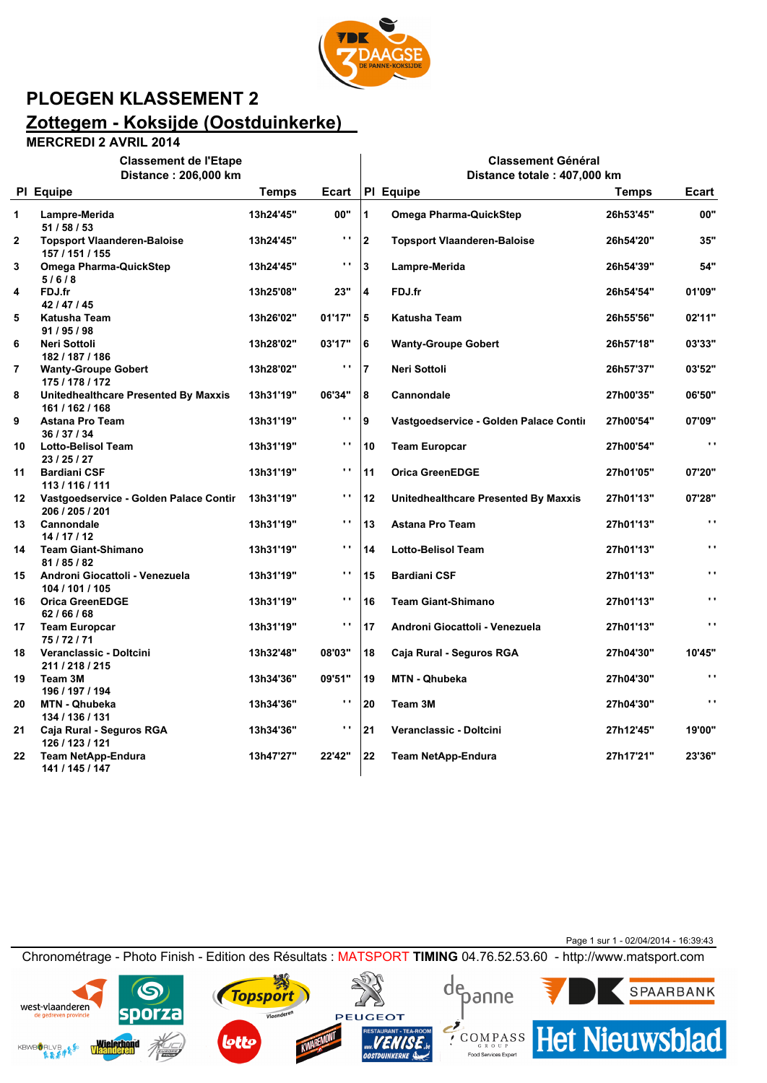

 $\overline{\phantom{a}}$ 

**Classement Général**

## **PLOEGEN KLASSEMENT 2 Zottegem - Koksijde (Oostduinkerke)**

#### **MERCREDI 2 AVRIL 2014**

**Classement de l'Etape**

|                         | Distance: 206,000 km                                      | Distance totale: 407,000 km |                |                         |                                        |              |                      |  |
|-------------------------|-----------------------------------------------------------|-----------------------------|----------------|-------------------------|----------------------------------------|--------------|----------------------|--|
|                         | PI Equipe                                                 | <b>Temps</b>                | Ecart          |                         | PI Equipe                              | <b>Temps</b> | Ecart                |  |
| $\mathbf{1}$            | Lampre-Merida<br>51 / 58 / 53                             | 13h24'45"                   | 00"            | 1                       | <b>Omega Pharma-QuickStep</b>          | 26h53'45"    | 00"                  |  |
| $\mathbf{2}$            | <b>Topsport Vlaanderen-Baloise</b><br>157 / 151 / 155     | 13h24'45"                   | $\mathbf{r}$ . | $\overline{2}$          | <b>Topsport Vlaanderen-Baloise</b>     | 26h54'20"    | 35"                  |  |
| 3                       | <b>Omega Pharma-QuickStep</b><br>5/6/8                    | 13h24'45"                   | $\mathbf{r}$   | $\mathbf{3}$            | Lampre-Merida                          | 26h54'39"    | 54"                  |  |
| 4                       | FDJ.fr<br>42 / 47 / 45                                    | 13h25'08"                   | 23"            | $\overline{\mathbf{4}}$ | FDJ.fr                                 | 26h54'54"    | 01'09"               |  |
| 5                       | Katusha Team<br>91/95/98                                  | 13h26'02"                   | 01'17"         | 5                       | <b>Katusha Team</b>                    | 26h55'56"    | 02'11"               |  |
| 6                       | Neri Sottoli<br>182 / 187 / 186                           | 13h28'02"                   | 03'17"         | 6                       | <b>Wanty-Groupe Gobert</b>             | 26h57'18"    | 03'33"               |  |
| $\overline{\mathbf{r}}$ | <b>Wanty-Groupe Gobert</b><br>175 / 178 / 172             | 13h28'02"                   | $\mathbf{r}$ . | $\overline{7}$          | Neri Sottoli                           | 26h57'37"    | 03'52"               |  |
| 8                       | Unitedhealthcare Presented By Maxxis<br>161 / 162 / 168   | 13h31'19"                   | 06'34"         | 8                       | Cannondale                             | 27h00'35"    | 06'50"               |  |
| 9                       | <b>Astana Pro Team</b><br>36 / 37 / 34                    | 13h31'19"                   | $\mathbf{r}$ . | 9                       | Vastgoedservice - Golden Palace Contin | 27h00'54"    | 07'09"               |  |
| 10                      | <b>Lotto-Belisol Team</b><br>23 / 25 / 27                 | 13h31'19"                   | $\mathbf{r}$ . | 10                      | <b>Team Europcar</b>                   | 27h00'54"    | $\mathbf{r}$ .       |  |
| 11                      | <b>Bardiani CSF</b><br>113 / 116 / 111                    | 13h31'19"                   | $\blacksquare$ | 11                      | <b>Orica GreenEDGE</b>                 | 27h01'05"    | 07'20"               |  |
| 12 <sup>12</sup>        | Vastgoedservice - Golden Palace Contir<br>206 / 205 / 201 | 13h31'19"                   | $\mathbf{r}$   | 12                      | Unitedhealthcare Presented By Maxxis   | 27h01'13"    | 07'28"               |  |
| 13                      | Cannondale<br>14/17/12                                    | 13h31'19"                   | $\blacksquare$ | 13                      | <b>Astana Pro Team</b>                 | 27h01'13"    | $\ddot{\phantom{0}}$ |  |
| 14                      | <b>Team Giant-Shimano</b><br>81 / 85 / 82                 | 13h31'19"                   | $\cdot$ .      | 14                      | <b>Lotto-Belisol Team</b>              | 27h01'13"    | $\ddot{\phantom{1}}$ |  |
| 15                      | Androni Giocattoli - Venezuela<br>104 / 101 / 105         | 13h31'19"                   | $\mathbf{r}$   | 15                      | <b>Bardiani CSF</b>                    | 27h01'13"    | $\ddot{\phantom{1}}$ |  |
| 16                      | <b>Orica GreenEDGE</b><br>62/66/68                        | 13h31'19"                   | $\mathbf{r}$   | 16                      | <b>Team Giant-Shimano</b>              | 27h01'13"    | $\ddot{\phantom{1}}$ |  |
| 17                      | <b>Team Europcar</b><br>75/72/71                          | 13h31'19"                   | $\mathbf{r}$ . | 17                      | Androni Giocattoli - Venezuela         | 27h01'13"    | $\ddot{\phantom{0}}$ |  |
| 18                      | Veranclassic - Doltcini<br>211 / 218 / 215                | 13h32'48"                   | 08'03"         | 18                      | Caja Rural - Seguros RGA               | 27h04'30"    | 10'45"               |  |
| 19                      | Team 3M<br>196 / 197 / 194                                | 13h34'36"                   | 09'51"         | 19                      | <b>MTN - Qhubeka</b>                   | 27h04'30"    | $\ddot{\phantom{0}}$ |  |
| 20                      | <b>MTN - Qhubeka</b><br>134 / 136 / 131                   | 13h34'36"                   | $\cdot$ .      | 20                      | Team 3M                                | 27h04'30"    | $\ddot{\phantom{1}}$ |  |
| 21                      | Caja Rural - Seguros RGA<br>126 / 123 / 121               | 13h34'36"                   | $\mathbf{r}$ . | 21                      | Veranclassic - Doltcini                | 27h12'45"    | 19'00"               |  |
| 22                      | <b>Team NetApp-Endura</b><br>141 / 145 / 147              | 13h47'27"                   | 22'42"         | 22                      | <b>Team NetApp-Endura</b>              | 27h17'21"    | 23'36"               |  |

Page 1 sur 1 - 02/04/2014 - 16:39:43

**ECOMPASS** Het Nieuwsblad

Food Servi

SPAARBANK

Chronométrage - Photo Finish - Edition des Résultats : MATSPORT **TIMING** 04.76.52.53.60 - http://www.matsport.com

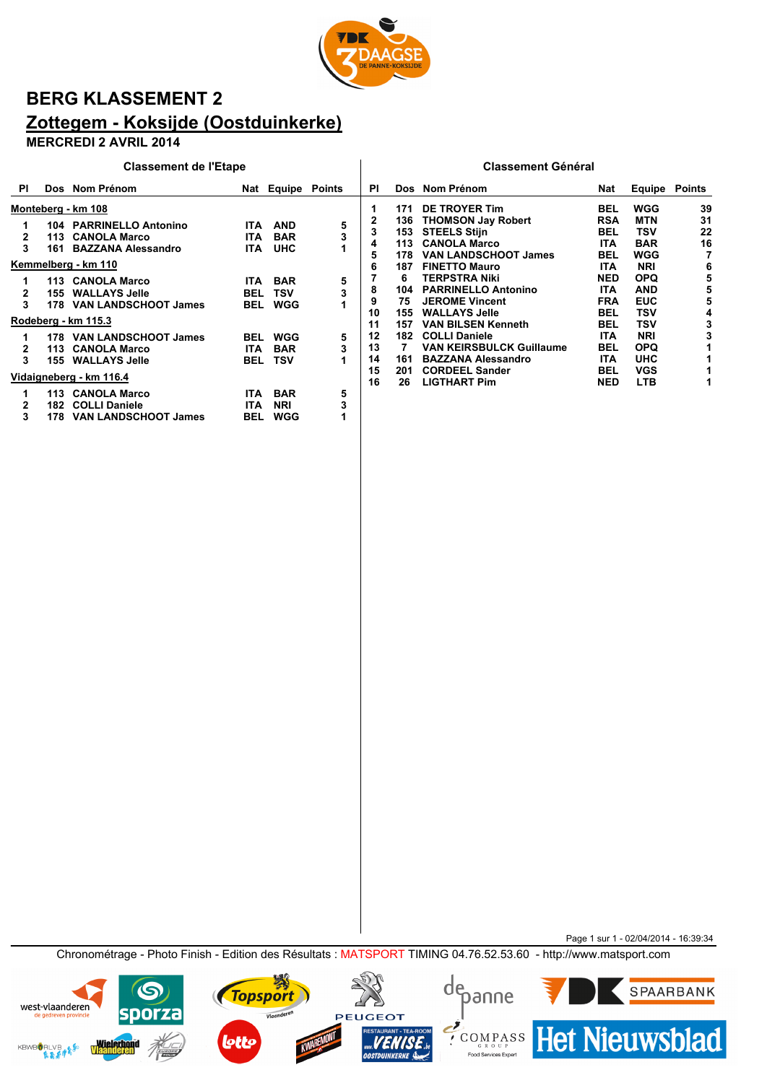

## **BERG KLASSEMENT 2 Zottegem - Koksijde (Oostduinkerke)**

#### **MERCREDI 2 AVRIL 2014**

|           |     | <b>Classement de l'Etape</b> |            |                   |   |    |     | <b>Classement Général</b>       |            |                      |    |
|-----------|-----|------------------------------|------------|-------------------|---|----|-----|---------------------------------|------------|----------------------|----|
| <b>PI</b> |     | Dos Nom Prénom               |            | Nat Equipe Points |   | ΡI |     | Dos Nom Prénom                  | Nat        | <b>Equipe Points</b> |    |
|           |     | Monteberg - km 108           |            |                   |   |    | 171 | DE TROYER Tim                   | <b>BEL</b> | <b>WGG</b>           | 39 |
|           |     | 104 PARRINELLO Antonino      |            | ITA AND           | 5 | 2  |     | 136 THOMSON Jay Robert          | <b>RSA</b> | <b>MTN</b>           | 31 |
| 2         |     | 113 CANOLA Marco             | ITA        | <b>BAR</b>        | 3 | 3  | 153 | <b>STEELS Stijn</b>             | <b>BEL</b> | <b>TSV</b>           | 22 |
| 3         | 161 | <b>BAZZANA Alessandro</b>    | ITA        | <b>UHC</b>        |   | 4  |     | 113 CANOLA Marco                | <b>ITA</b> | <b>BAR</b>           | 16 |
|           |     |                              |            |                   |   | 5  | 178 | <b>VAN LANDSCHOOT James</b>     | <b>BEL</b> | <b>WGG</b>           | 7  |
|           |     | Kemmelberg - km 110          |            |                   |   | 6  | 187 | <b>FINETTO Mauro</b>            | <b>ITA</b> | <b>NRI</b>           | 6  |
|           |     | 113 CANOLA Marco             |            | <b>ITA BAR</b>    | 5 |    | 6   | <b>TERPSTRA Niki</b>            | <b>NED</b> | <b>OPQ</b>           | 5  |
| 2         |     | 155 WALLAYS Jelle            | <b>BEL</b> | TSV               |   | 8  | 104 | <b>PARRINELLO Antonino</b>      | <b>ITA</b> | <b>AND</b>           | 5  |
| 3         |     | 178 VAN LANDSCHOOT James     |            | <b>BEL WGG</b>    |   | 9  | 75  | <b>JEROME Vincent</b>           | <b>FRA</b> | <b>EUC</b>           | 5  |
|           |     |                              |            |                   |   | 10 | 155 | <b>WALLAYS Jelle</b>            | <b>BEL</b> | <b>TSV</b>           | 4  |
|           |     | Rodeberg - km 115.3          |            |                   |   | 11 | 157 | <b>VAN BILSEN Kenneth</b>       | <b>BEL</b> | <b>TSV</b>           | 3  |
|           |     | 178 VAN LANDSCHOOT James     |            | <b>BEL WGG</b>    | 5 | 12 | 182 | <b>COLLI Daniele</b>            | <b>ITA</b> | <b>NRI</b>           | 3  |
| 2         |     | 113 CANOLA Marco             | ITA        | <b>BAR</b>        | 3 | 13 |     | <b>VAN KEIRSBULCK Guillaume</b> | <b>BEL</b> | <b>OPQ</b>           | 1  |
| 3         |     | <b>155 WALLAYS Jelle</b>     |            | <b>BEL TSV</b>    |   | 14 | 161 | <b>BAZZANA Alessandro</b>       | <b>ITA</b> | <b>UHC</b>           |    |
|           |     |                              |            |                   |   | 15 | 201 | <b>CORDEEL Sander</b>           | <b>BEL</b> | <b>VGS</b>           |    |
|           |     | Vidaigneberg - km 116.4      |            |                   |   | 16 | 26  | <b>LIGTHART Pim</b>             | <b>NED</b> | <b>LTB</b>           |    |
|           |     | 113 CANOLA Marco             | ITA        | <b>BAR</b>        | 5 |    |     |                                 |            |                      |    |
| 2         |     | 182 COLLI Daniele            | <b>ITA</b> | <b>NRI</b>        | 3 |    |     |                                 |            |                      |    |
| 3         | 178 | <b>VAN LANDSCHOOT James</b>  | <b>BEL</b> | WGG               |   |    |     |                                 |            |                      |    |

Page 1 sur 1 - 02/04/2014 - 16:39:34 Chronométrage - Photo Finish - Edition des Résultats : MATSPORT TIMING 04.76.52.53.60 - http://www.matsport.com

**PEUGEOT** 





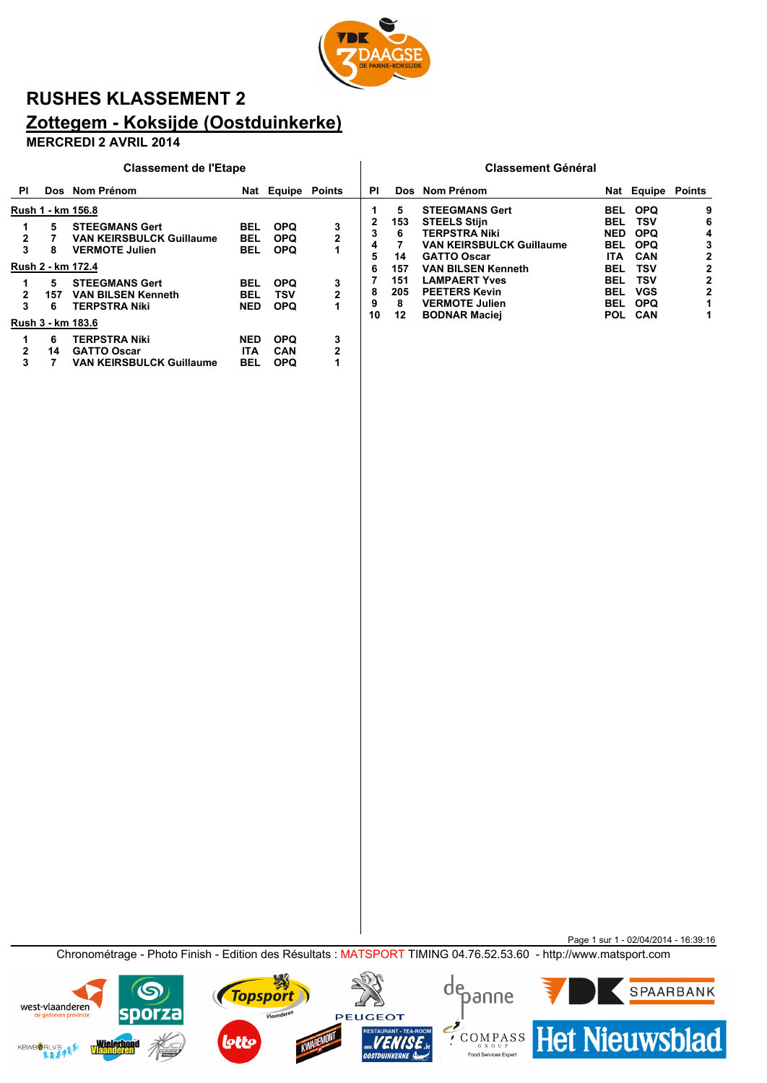

## **RUSHES KLASSEMENT 2 Zottegem - Koksijde (Oostduinkerke)**

### **MERCREDI 2 AVRIL 2014**

|           | <b>Classement de l'Etape</b> |                                                                                   |                                 |                                        |                     |              |                |                                                                                                      | <b>Classement Général</b>               |                                               |             |
|-----------|------------------------------|-----------------------------------------------------------------------------------|---------------------------------|----------------------------------------|---------------------|--------------|----------------|------------------------------------------------------------------------------------------------------|-----------------------------------------|-----------------------------------------------|-------------|
| <b>PI</b> |                              | Dos Nom Prénom                                                                    |                                 | Nat Equipe Points                      |                     | ΡI           |                | Dos Nom Prénom                                                                                       |                                         | Nat Equipe Points                             |             |
|           |                              | Rush 1 - km 156.8                                                                 |                                 |                                        |                     |              | 5              | <b>STEEGMANS Gert</b>                                                                                | <b>BEL</b>                              | <b>OPQ</b>                                    | 9           |
| 2<br>3    | 5<br>8                       | <b>STEEGMANS Gert</b><br><b>VAN KEIRSBULCK Guillaume</b><br><b>VERMOTE Julien</b> | <b>BEL</b><br>BEL<br><b>BEL</b> | <b>OPQ</b><br><b>OPQ</b><br><b>OPQ</b> | 3<br>$\overline{2}$ | 3<br>4<br>5  | 153<br>6<br>14 | <b>STEELS Stijn</b><br><b>TERPSTRA Niki</b><br><b>VAN KEIRSBULCK Guillaume</b><br><b>GATTO Oscar</b> | <b>BEL</b><br><b>NED</b><br>BEL<br>ITA. | TSV<br><b>OPQ</b><br><b>OPQ</b><br><b>CAN</b> | 6<br>4<br>2 |
|           | 5                            | Rush 2 - km 172.4<br><b>STEEGMANS Gert</b>                                        | <b>BEL</b>                      | <b>OPQ</b>                             | 3                   | 6            | 157<br>151     | <b>VAN BILSEN Kenneth</b><br><b>LAMPAERT Yves</b>                                                    | <b>BEL</b><br><b>BEL</b>                | TSV<br>TSV                                    | 2           |
| 2<br>3    | 157<br>6                     | <b>VAN BILSEN Kenneth</b><br><b>TERPSTRA Niki</b><br>Rush 3 - km 183.6            | <b>BEL</b><br><b>NED</b>        | TSV<br><b>OPQ</b>                      | 2<br>1              | 8<br>9<br>10 | 205<br>8<br>12 | <b>PEETERS Kevin</b><br><b>VERMOTE Julien</b><br><b>BODNAR Maciej</b>                                | <b>BEL</b><br>BEL                       | <b>VGS</b><br><b>OPQ</b><br>POL CAN           |             |
| 2<br>3    | 6<br>14                      | <b>TERPSTRA Niki</b><br><b>GATTO Oscar</b><br><b>VAN KEIRSBULCK Guillaume</b>     | <b>NED</b><br><b>ITA</b><br>BEL | <b>OPQ</b><br><b>CAN</b><br><b>OPQ</b> | 3<br>2              |              |                |                                                                                                      |                                         |                                               |             |

Page 1 sur 1 - 02/04/2014 - 16:39:16 Chronométrage - Photo Finish - Edition des Résultats : MATSPORT TIMING 04.76.52.53.60 - http://www.matsport.com

**PEUGEOT** 

₩

Vlaanderen